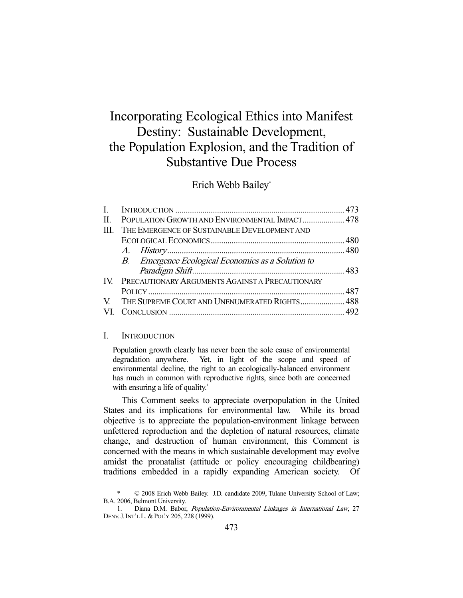# Incorporating Ecological Ethics into Manifest Destiny: Sustainable Development, the Population Explosion, and the Tradition of Substantive Due Process

Erich Webb Bailey\*

| H.   | POPULATION GROWTH AND ENVIRONMENTAL IMPACT 478      |  |
|------|-----------------------------------------------------|--|
| III. | THE EMERGENCE OF SUSTAINABLE DEVELOPMENT AND        |  |
|      |                                                     |  |
|      |                                                     |  |
|      | B. Emergence Ecological Economics as a Solution to  |  |
|      |                                                     |  |
|      | IV. PRECAUTIONARY ARGUMENTS AGAINST A PRECAUTIONARY |  |
|      |                                                     |  |
|      | V. THE SUPREME COURT AND UNENUMERATED RIGHTS 488    |  |
|      |                                                     |  |
|      |                                                     |  |

## I. INTRODUCTION

-

Population growth clearly has never been the sole cause of environmental degradation anywhere. Yet, in light of the scope and speed of environmental decline, the right to an ecologically-balanced environment has much in common with reproductive rights, since both are concerned with ensuring a life of quality.<sup>1</sup>

 This Comment seeks to appreciate overpopulation in the United States and its implications for environmental law. While its broad objective is to appreciate the population-environment linkage between unfettered reproduction and the depletion of natural resources, climate change, and destruction of human environment, this Comment is concerned with the means in which sustainable development may evolve amidst the pronatalist (attitude or policy encouraging childbearing) traditions embedded in a rapidly expanding American society. Of

 <sup>\* © 2008</sup> Erich Webb Bailey. J.D. candidate 2009, Tulane University School of Law; B.A. 2006, Belmont University.

 <sup>1.</sup> Diana D.M. Babor, Population-Environmental Linkages in International Law, 27 DENV.J.INT'L L. & POL'Y 205, 228 (1999).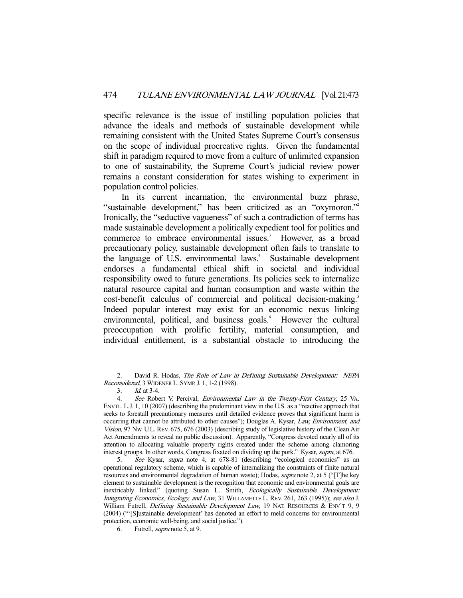specific relevance is the issue of instilling population policies that advance the ideals and methods of sustainable development while remaining consistent with the United States Supreme Court's consensus on the scope of individual procreative rights. Given the fundamental shift in paradigm required to move from a culture of unlimited expansion to one of sustainability, the Supreme Court's judicial review power remains a constant consideration for states wishing to experiment in population control policies.

 In its current incarnation, the environmental buzz phrase, "sustainable development," has been criticized as an "oxymoron."<sup>2</sup> Ironically, the "seductive vagueness" of such a contradiction of terms has made sustainable development a politically expedient tool for politics and commerce to embrace environmental issues.<sup>3</sup> However, as a broad precautionary policy, sustainable development often fails to translate to the language of U.S. environmental laws.<sup>4</sup> Sustainable development endorses a fundamental ethical shift in societal and individual responsibility owed to future generations. Its policies seek to internalize natural resource capital and human consumption and waste within the cost-benefit calculus of commercial and political decision-making.<sup>5</sup> Indeed popular interest may exist for an economic nexus linking environmental, political, and business goals.<sup>6</sup> However the cultural preoccupation with prolific fertility, material consumption, and individual entitlement, is a substantial obstacle to introducing the

<sup>2.</sup> David R. Hodas, The Role of Law in Defining Sustainable Development: NEPA Reconsidered, 3 WIDENER L. SYMP.J. 1, 1-2 (1998).

 <sup>3.</sup> Id. at 3-4.

<sup>4.</sup> See Robert V. Percival, *Environmental Law in the Twenty-First Century*, 25 VA. ENVTL. L.J. 1, 10 (2007) (describing the predominant view in the U.S. as a "reactive approach that seeks to forestall precautionary measures until detailed evidence proves that significant harm is occurring that cannot be attributed to other causes"); Douglas A. Kysar, Law, Environment, and Vision, 97 NW. U.L. REV. 675, 676 (2003) (describing study of legislative history of the Clean Air Act Amendments to reveal no public discussion). Apparently, "Congress devoted nearly all of its attention to allocating valuable property rights created under the scheme among clamoring interest groups. In other words, Congress fixated on dividing up the pork." Kysar, supra, at 676.

 <sup>5.</sup> See Kysar, supra note 4, at 678-81 (describing "ecological economics" as an operational regulatory scheme, which is capable of internalizing the constraints of finite natural resources and environmental degradation of human waste); Hodas, *supra* note 2, at 5 ("[T]he key element to sustainable development is the recognition that economic and environmental goals are inextricably linked." (quoting Susan L. Smith, Ecologically Sustainable Development: Integrating Economics, Ecology, and Law, 31 WILLAMETTE L. REV. 261, 263 (1995)); see also J. William Futrell, Defining Sustainable Development Law, 19 NAT. RESOURCES & ENV'T 9, 9 (2004) ("'[S]ustainable development' has denoted an effort to meld concerns for environmental protection, economic well-being, and social justice.").

 <sup>6.</sup> Futrell, supra note 5, at 9.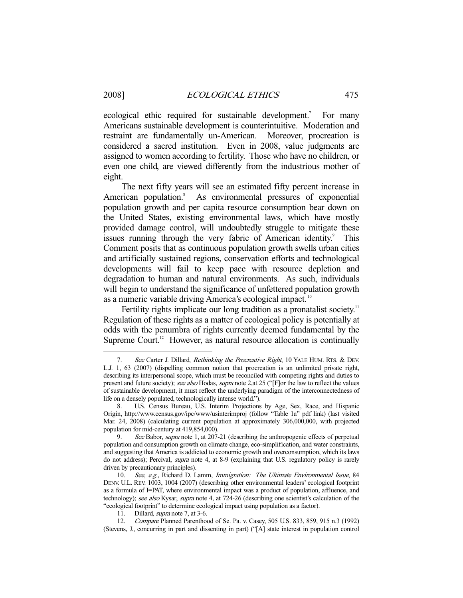ecological ethic required for sustainable development.<sup>7</sup> For many Americans sustainable development is counterintuitive. Moderation and restraint are fundamentally un-American. Moreover, procreation is considered a sacred institution. Even in 2008, value judgments are assigned to women according to fertility. Those who have no children, or even one child, are viewed differently from the industrious mother of eight.

 The next fifty years will see an estimated fifty percent increase in American population.<sup>8</sup> As environmental pressures of exponential population growth and per capita resource consumption bear down on the United States, existing environmental laws, which have mostly provided damage control, will undoubtedly struggle to mitigate these issues running through the very fabric of American identity.<sup>9</sup> This Comment posits that as continuous population growth swells urban cities and artificially sustained regions, conservation efforts and technological developments will fail to keep pace with resource depletion and degradation to human and natural environments. As such, individuals will begin to understand the significance of unfettered population growth as a numeric variable driving America's ecological impact.<sup>10</sup>

Fertility rights implicate our long tradition as a pronatalist society.<sup>11</sup> Regulation of these rights as a matter of ecological policy is potentially at odds with the penumbra of rights currently deemed fundamental by the Supreme Court.<sup>12</sup> However, as natural resource allocation is continually

<sup>7.</sup> See Carter J. Dillard, Rethinking the Procreative Right, 10 YALE HUM. RTS. & DEV. L.J. 1, 63 (2007) (dispelling common notion that procreation is an unlimited private right, describing its interpersonal scope, which must be reconciled with competing rights and duties to present and future society); see also Hodas, supra note 2, at 25 ("[F]or the law to reflect the values of sustainable development, it must reflect the underlying paradigm of the interconnectedness of life on a densely populated, technologically intense world.").

 <sup>8.</sup> U.S. Census Bureau, U.S. Interim Projections by Age, Sex, Race, and Hispanic Origin, http://www.census.gov/ipc/www/usinterimproj (follow "Table 1a" pdf link) (last visited Mar. 24, 2008) (calculating current population at approximately 306,000,000, with projected population for mid-century at 419,854,000).

<sup>9.</sup> See Babor, *supra* note 1, at 207-21 (describing the anthropogenic effects of perpetual population and consumption growth on climate change, eco-simplification, and water constraints, and suggesting that America is addicted to economic growth and overconsumption, which its laws do not address); Percival, *supra* note 4, at 8-9 (explaining that U.S. regulatory policy is rarely driven by precautionary principles).

<sup>10.</sup> See, e.g., Richard D. Lamm, Immigration: The Ultimate Environmental Issue, 84 DENV. U.L. REV. 1003, 1004 (2007) (describing other environmental leaders' ecological footprint as a formula of I=PAT, where environmental impact was a product of population, affluence, and technology); see also Kysar, supra note 4, at 724-26 (describing one scientist's calculation of the "ecological footprint" to determine ecological impact using population as a factor).

<sup>11.</sup> Dillard, *supra* note 7, at 3-6.

 <sup>12.</sup> Compare Planned Parenthood of Se. Pa. v. Casey, 505 U.S. 833, 859, 915 n.3 (1992) (Stevens, J., concurring in part and dissenting in part) ("[A] state interest in population control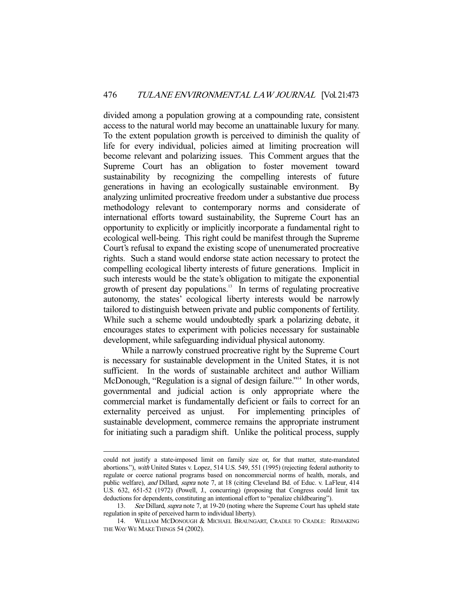divided among a population growing at a compounding rate, consistent access to the natural world may become an unattainable luxury for many. To the extent population growth is perceived to diminish the quality of life for every individual, policies aimed at limiting procreation will become relevant and polarizing issues. This Comment argues that the Supreme Court has an obligation to foster movement toward sustainability by recognizing the compelling interests of future generations in having an ecologically sustainable environment. By analyzing unlimited procreative freedom under a substantive due process methodology relevant to contemporary norms and considerate of international efforts toward sustainability, the Supreme Court has an opportunity to explicitly or implicitly incorporate a fundamental right to ecological well-being. This right could be manifest through the Supreme Court's refusal to expand the existing scope of unenumerated procreative rights. Such a stand would endorse state action necessary to protect the compelling ecological liberty interests of future generations. Implicit in such interests would be the state's obligation to mitigate the exponential growth of present day populations.<sup>13</sup> In terms of regulating procreative autonomy, the states' ecological liberty interests would be narrowly tailored to distinguish between private and public components of fertility. While such a scheme would undoubtedly spark a polarizing debate, it encourages states to experiment with policies necessary for sustainable development, while safeguarding individual physical autonomy.

 While a narrowly construed procreative right by the Supreme Court is necessary for sustainable development in the United States, it is not sufficient. In the words of sustainable architect and author William McDonough, "Regulation is a signal of design failure."<sup>14</sup> In other words, governmental and judicial action is only appropriate where the commercial market is fundamentally deficient or fails to correct for an externality perceived as unjust. For implementing principles of sustainable development, commerce remains the appropriate instrument for initiating such a paradigm shift. Unlike the political process, supply

could not justify a state-imposed limit on family size or, for that matter, state-mandated abortions."), with United States v. Lopez, 514 U.S. 549, 551 (1995) (rejecting federal authority to regulate or coerce national programs based on noncommercial norms of health, morals, and public welfare), and Dillard, supra note 7, at 18 (citing Cleveland Bd. of Educ. v. LaFleur, 414 U.S. 632, 651-52 (1972) (Powell, J., concurring) (proposing that Congress could limit tax deductions for dependents, constituting an intentional effort to "penalize childbearing").

<sup>13.</sup> See Dillard, supra note 7, at 19-20 (noting where the Supreme Court has upheld state regulation in spite of perceived harm to individual liberty).

 <sup>14.</sup> WILLIAM MCDONOUGH & MICHAEL BRAUNGART, CRADLE TO CRADLE: REMAKING THE WAY WE MAKE THINGS 54 (2002).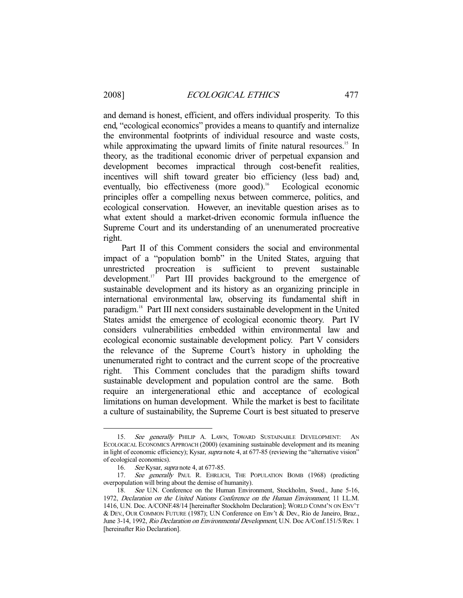and demand is honest, efficient, and offers individual prosperity. To this end, "ecological economics" provides a means to quantify and internalize the environmental footprints of individual resource and waste costs, while approximating the upward limits of finite natural resources.<sup>15</sup> In theory, as the traditional economic driver of perpetual expansion and development becomes impractical through cost-benefit realities, incentives will shift toward greater bio efficiency (less bad) and, eventually, bio effectiveness (more good).<sup>16</sup> Ecological economic principles offer a compelling nexus between commerce, politics, and ecological conservation. However, an inevitable question arises as to what extent should a market-driven economic formula influence the Supreme Court and its understanding of an unenumerated procreative right.

 Part II of this Comment considers the social and environmental impact of a "population bomb" in the United States, arguing that unrestricted procreation is sufficient to prevent sustainable<br>development.<sup>17</sup> Part III provides background to the emergence of Part III provides background to the emergence of sustainable development and its history as an organizing principle in international environmental law, observing its fundamental shift in paradigm.18 Part III next considers sustainable development in the United States amidst the emergence of ecological economic theory. Part IV considers vulnerabilities embedded within environmental law and ecological economic sustainable development policy. Part V considers the relevance of the Supreme Court's history in upholding the unenumerated right to contract and the current scope of the procreative right. This Comment concludes that the paradigm shifts toward sustainable development and population control are the same. Both require an intergenerational ethic and acceptance of ecological limitations on human development. While the market is best to facilitate a culture of sustainability, the Supreme Court is best situated to preserve

<sup>15.</sup> See generally PHILIP A. LAWN, TOWARD SUSTAINABLE DEVELOPMENT: AN ECOLOGICAL ECONOMICS APPROACH (2000) (examining sustainable development and its meaning in light of economic efficiency); Kysar, *supra* note 4, at 677-85 (reviewing the "alternative vision" of ecological economics).

 <sup>16.</sup> See Kysar, supra note 4, at 677-85.

<sup>17.</sup> See generally PAUL R. EHRLICH, THE POPULATION BOMB (1968) (predicting overpopulation will bring about the demise of humanity).

 <sup>18.</sup> See U.N. Conference on the Human Environment, Stockholm, Swed., June 5-16, 1972, Declaration on the United Nations Conference on the Human Environment, 11 I.L.M. 1416, U.N. Doc. A/CONF.48/14 [hereinafter Stockholm Declaration]; WORLD COMM'N ON ENV'T & DEV., OUR COMMON FUTURE (1987); U.N Conference on Env't & Dev., Rio de Janeiro, Braz., June 3-14, 1992, Rio Declaration on Environmental Development, U.N. Doc A/Conf.151/5/Rev. 1 [hereinafter Rio Declaration].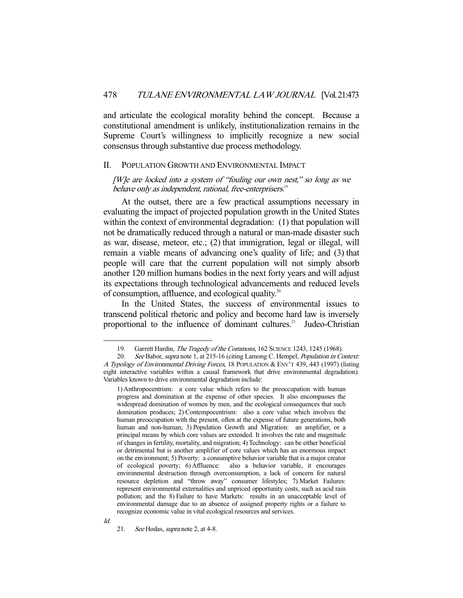and articulate the ecological morality behind the concept. Because a constitutional amendment is unlikely, institutionalization remains in the Supreme Court's willingness to implicitly recognize a new social consensus through substantive due process methodology.

#### II. POPULATION GROWTH AND ENVIRONMENTAL IMPACT

[W]e are locked into a system of "fouling our own nest," so long as we behave only as independent, rational, free-enterprisers.<sup>19</sup>

 At the outset, there are a few practical assumptions necessary in evaluating the impact of projected population growth in the United States within the context of environmental degradation: (1) that population will not be dramatically reduced through a natural or man-made disaster such as war, disease, meteor, etc.; (2) that immigration, legal or illegal, will remain a viable means of advancing one's quality of life; and (3) that people will care that the current population will not simply absorb another 120 million humans bodies in the next forty years and will adjust its expectations through technological advancements and reduced levels of consumption, affluence, and ecological quality.20

 In the United States, the success of environmental issues to transcend political rhetoric and policy and become hard law is inversely proportional to the influence of dominant cultures.<sup>21</sup> Judeo-Christian

<sup>19.</sup> Garrett Hardin, The Tragedy of the Commons, 162 SCIENCE 1243, 1245 (1968).

<sup>20.</sup> See Babor, supra note 1, at 215-16 (citing Lamong C. Hempel, *Population in Context:* A Typology of Environmental Driving Forces, 18 POPULATION & ENV'T 439, 443 (1997) (listing eight interactive variables within a causal framework that drive environmental degradation). Variables known to drive environmental degradation include:

<sup>1)</sup> Anthropocentrism: a core value which refers to the preoccupation with human progress and domination at the expense of other species. It also encompasses the widespread domination of women by men, and the ecological consequences that such domination produces; 2) Contempocentrism: also a core value which involves the human preoccupation with the present, often at the expense of future generations, both human and non-human; 3) Population Growth and Migration: an amplifier, or a principal means by which core values are extended. It involves the rate and magnitude of changes in fertility, mortality, and migration; 4) Technology: can be either beneficial or detrimental but is another amplifier of core values which has an enormous impact on the environment; 5) Poverty: a consumptive behavior variable that is a major creator of ecological poverty; 6) Affluence: also a behavior variable, it encourages environmental destruction through overconsumption, a lack of concern for natural resource depletion and "throw away" consumer lifestyles; 7) Market Failures: represent environmental externalities and unpriced opportunity costs, such as acid rain pollution; and the 8) Failure to have Markets: results in an unacceptable level of environmental damage due to an absence of assigned property rights or a failure to recognize economic value in vital ecological resources and services.

<sup>21.</sup> See Hodas, *supra* note 2, at 4-8.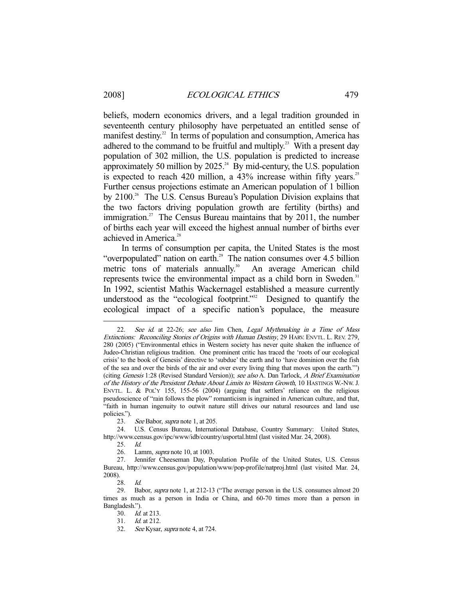beliefs, modern economics drivers, and a legal tradition grounded in seventeenth century philosophy have perpetuated an entitled sense of manifest destiny.<sup>22</sup> In terms of population and consumption, America has adhered to the command to be fruitful and multiply.<sup>23</sup> With a present day population of 302 million, the U.S. population is predicted to increase approximately 50 million by  $2025.^{24}$  By mid-century, the U.S. population is expected to reach 420 million, a  $43\%$  increase within fifty years.<sup>25</sup> Further census projections estimate an American population of 1 billion by 2100<sup>26</sup> The U.S. Census Bureau's Population Division explains that the two factors driving population growth are fertility (births) and immigration.<sup>27</sup> The Census Bureau maintains that by 2011, the number of births each year will exceed the highest annual number of births ever achieved in America.<sup>28</sup>

 In terms of consumption per capita, the United States is the most "overpopulated" nation on earth.<sup>29</sup> The nation consumes over 4.5 billion metric tons of materials annually.<sup>30</sup> An average American child metric tons of materials annually. $30<sup>30</sup>$ represents twice the environmental impact as a child born in Sweden.<sup>31</sup> In 1992, scientist Mathis Wackernagel established a measure currently understood as the "ecological footprint."<sup>32</sup> Designed to quantify the ecological impact of a specific nation's populace, the measure

23. See Babor, *supra* note 1, at 205.

-

28. Id.

 <sup>22.</sup> See id. at 22-26; see also Jim Chen, Legal Mythmaking in a Time of Mass Extinctions: Reconciling Stories of Origins with Human Destiny, 29 HARV. ENVTL. L. REV. 279, 280 (2005) ("Environmental ethics in Western society has never quite shaken the influence of Judeo-Christian religious tradition. One prominent critic has traced the 'roots of our ecological crisis' to the book of Genesis' directive to 'subdue' the earth and to 'have dominion over the fish of the sea and over the birds of the air and over every living thing that moves upon the earth.'") (citing Genesis 1:28 (Revised Standard Version)); see also A. Dan Tarlock, A Brief Examination of the History of the Persistent Debate About Limits to Western Growth, 10 HASTINGS W.-NW. J. ENVTL. L. & POL'Y 155, 155-56 (2004) (arguing that settlers' reliance on the religious pseudoscience of "rain follows the plow" romanticism is ingrained in American culture, and that, "faith in human ingenuity to outwit nature still drives our natural resources and land use policies.").

 <sup>24.</sup> U.S. Census Bureau, International Database, Country Summary: United States, http://www.census.gov/ipc/www/idb/country/usportal.html (last visited Mar. 24, 2008).

 <sup>25.</sup> Id.

 <sup>26.</sup> Lamm, supra note 10, at 1003.

 <sup>27.</sup> Jennifer Cheeseman Day, Population Profile of the United States, U.S. Census Bureau, http://www.census.gov/population/www/pop-profile/natproj.html (last visited Mar. 24, 2008).

 <sup>29.</sup> Babor, supra note 1, at 212-13 ("The average person in the U.S. consumes almost 20 times as much as a person in India or China, and 60-70 times more than a person in Bangladesh.").

 <sup>30.</sup> Id. at 213.

 <sup>31.</sup> Id. at 212.

 <sup>32.</sup> See Kysar, supra note 4, at 724.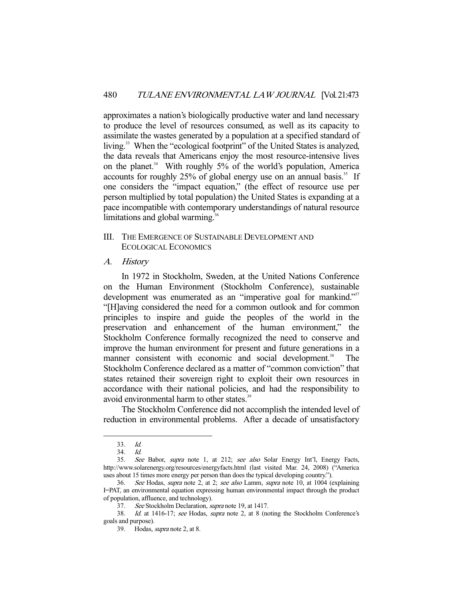approximates a nation's biologically productive water and land necessary to produce the level of resources consumed, as well as its capacity to assimilate the wastes generated by a population at a specified standard of living.<sup>33</sup> When the "ecological footprint" of the United States is analyzed, the data reveals that Americans enjoy the most resource-intensive lives on the planet.<sup>34</sup> With roughly  $5\%$  of the world's population, America accounts for roughly  $25\%$  of global energy use on an annual basis.<sup>35</sup> If one considers the "impact equation," (the effect of resource use per person multiplied by total population) the United States is expanding at a pace incompatible with contemporary understandings of natural resource limitations and global warming.<sup>36</sup>

- III. THE EMERGENCE OF SUSTAINABLE DEVELOPMENT AND ECOLOGICAL ECONOMICS
- A. History

 In 1972 in Stockholm, Sweden, at the United Nations Conference on the Human Environment (Stockholm Conference), sustainable development was enumerated as an "imperative goal for mankind."<sup>37</sup> "[H]aving considered the need for a common outlook and for common principles to inspire and guide the peoples of the world in the preservation and enhancement of the human environment," the Stockholm Conference formally recognized the need to conserve and improve the human environment for present and future generations in a manner consistent with economic and social development.<sup>38</sup> The Stockholm Conference declared as a matter of "common conviction" that states retained their sovereign right to exploit their own resources in accordance with their national policies, and had the responsibility to avoid environmental harm to other states.<sup>39</sup>

 The Stockholm Conference did not accomplish the intended level of reduction in environmental problems. After a decade of unsatisfactory

 <sup>33.</sup> Id.

 $34$   $1d$ 

<sup>35.</sup> See Babor, supra note 1, at 212; see also Solar Energy Int'l, Energy Facts, http://www.solarenergy.org/resources/energyfacts.html (last visited Mar. 24, 2008) ("America uses about 15 times more energy per person than does the typical developing country.").

<sup>36.</sup> See Hodas, supra note 2, at 2; see also Lamm, supra note 10, at 1004 (explaining I=PAT, an environmental equation expressing human environmental impact through the product of population, affluence, and technology).

 <sup>37.</sup> See Stockholm Declaration, supra note 19, at 1417.

 <sup>38.</sup> Id. at 1416-17; see Hodas, supra note 2, at 8 (noting the Stockholm Conference's goals and purpose).

 <sup>39.</sup> Hodas, supra note 2, at 8.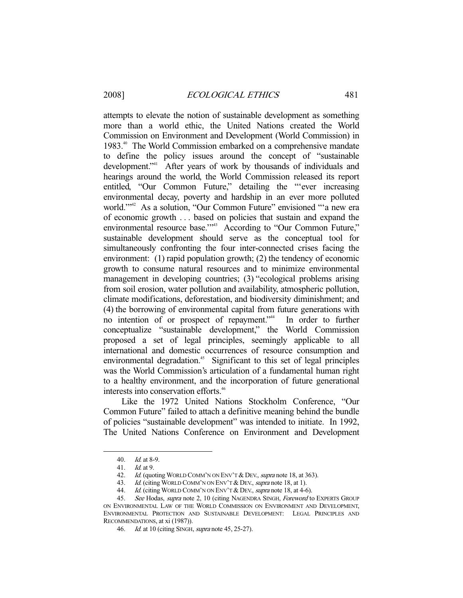attempts to elevate the notion of sustainable development as something more than a world ethic, the United Nations created the World Commission on Environment and Development (World Commission) in 1983.40 The World Commission embarked on a comprehensive mandate to define the policy issues around the concept of "sustainable development."<sup>41</sup> After years of work by thousands of individuals and hearings around the world, the World Commission released its report entitled, "Our Common Future," detailing the "'ever increasing environmental decay, poverty and hardship in an ever more polluted world."<sup>42</sup> As a solution, "Our Common Future" envisioned "'a new era of economic growth . . . based on policies that sustain and expand the environmental resource base."<sup>43</sup> According to "Our Common Future," sustainable development should serve as the conceptual tool for simultaneously confronting the four inter-connected crises facing the environment: (1) rapid population growth; (2) the tendency of economic growth to consume natural resources and to minimize environmental management in developing countries; (3) "ecological problems arising from soil erosion, water pollution and availability, atmospheric pollution, climate modifications, deforestation, and biodiversity diminishment; and (4) the borrowing of environmental capital from future generations with no intention of or prospect of repayment."44 In order to further conceptualize "sustainable development," the World Commission proposed a set of legal principles, seemingly applicable to all international and domestic occurrences of resource consumption and environmental degradation.<sup>45</sup> Significant to this set of legal principles was the World Commission's articulation of a fundamental human right to a healthy environment, and the incorporation of future generational interests into conservation efforts.<sup>46</sup>

 Like the 1972 United Nations Stockholm Conference, "Our Common Future" failed to attach a definitive meaning behind the bundle of policies "sustainable development" was intended to initiate. In 1992, The United Nations Conference on Environment and Development

<sup>40.</sup> *Id.* at 8-9.<br>41. *Id.* at 9.

<sup>41.</sup> *Id.* at 9.<br>42. *Id.* (quo

<sup>42.</sup> Id. (quoting WORLD COMM'N ON ENV'T & DEV., *supra* note 18, at 363).<br>43. Id. (citing WORLD COMM'N ON ENV'T & DEV., *supra* note 18, at 1).

Id. (citing WORLD COMM'N ON ENV'T & DEV., supra note 18, at 1).

<sup>44.</sup> *Id.* (citing WORLD COMM'N ON ENV'T & DEV., *supra* note 18, at 4-6).

<sup>45.</sup> See Hodas, supra note 2, 10 (citing NAGENDRA SINGH, Foreword to EXPERTS GROUP ON ENVIRONMENTAL LAW OF THE WORLD COMMISSION ON ENVIRONMENT AND DEVELOPMENT, ENVIRONMENTAL PROTECTION AND SUSTAINABLE DEVELOPMENT: LEGAL PRINCIPLES AND RECOMMENDATIONS, at xi (1987)).

<sup>46.</sup> *Id.* at 10 (citing SINGH, *supra* note 45, 25-27).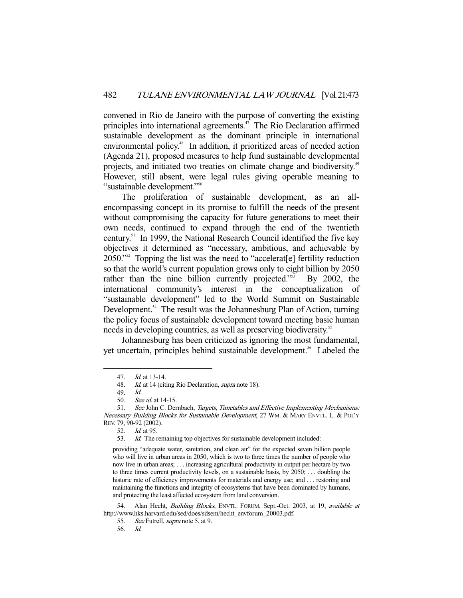convened in Rio de Janeiro with the purpose of converting the existing principles into international agreements.<sup>47</sup> The Rio Declaration affirmed sustainable development as the dominant principle in international environmental policy.<sup>48</sup> In addition, it prioritized areas of needed action (Agenda 21), proposed measures to help fund sustainable developmental projects, and initiated two treaties on climate change and biodiversity.<sup>49</sup> However, still absent, were legal rules giving operable meaning to "sustainable development."50

 The proliferation of sustainable development, as an allencompassing concept in its promise to fulfill the needs of the present without compromising the capacity for future generations to meet their own needs, continued to expand through the end of the twentieth century.51 In 1999, the National Research Council identified the five key objectives it determined as "necessary, ambitious, and achievable by 2050."<sup>52</sup> Topping the list was the need to "accelerat<sup>[e]</sup> fertility reduction so that the world's current population grows only to eight billion by 2050 rather than the nine billion currently projected."<sup>53</sup> By 2002, the international community's interest in the conceptualization of "sustainable development" led to the World Summit on Sustainable Development.<sup>54</sup> The result was the Johannesburg Plan of Action, turning the policy focus of sustainable development toward meeting basic human needs in developing countries, as well as preserving biodiversity.<sup>55</sup>

 Johannesburg has been criticized as ignoring the most fundamental, yet uncertain, principles behind sustainable development.<sup>56</sup> Labeled the

 <sup>47.</sup> Id. at 13-14.

<sup>48.</sup> Id. at 14 (citing Rio Declaration, *supra* note 18).

 <sup>49.</sup> Id.

 <sup>50.</sup> See id. at 14-15.

 <sup>51.</sup> See John C. Dernbach, Targets, Timetables and Effective Implementing Mechanisms: Necessary Building Blocks for Sustainable Development, 27 WM. & MARY ENVTL. L. & POL'Y REV. 79, 90-92 (2002).

 <sup>52.</sup> Id. at 95.

 <sup>53.</sup> Id. The remaining top objectives for sustainable development included:

providing "adequate water, sanitation, and clean air" for the expected seven billion people who will live in urban areas in 2050, which is two to three times the number of people who now live in urban areas; . . . increasing agricultural productivity in output per hectare by two to three times current productivity levels, on a sustainable basis, by 2050; . . . doubling the historic rate of efficiency improvements for materials and energy use; and . . . restoring and maintaining the functions and integrity of ecosystems that have been dominated by humans, and protecting the least affected ecosystem from land conversion.

<sup>54.</sup> Alan Hecht, Building Blocks, ENVTL. FORUM, Sept.-Oct. 2003, at 19, available at http://www.hks.harvard.edu/sed/does/sdsem/hecht\_envforum\_20003.pdf.

<sup>55.</sup> See Futrell, *supra* note 5, at 9.

 <sup>56.</sup> Id.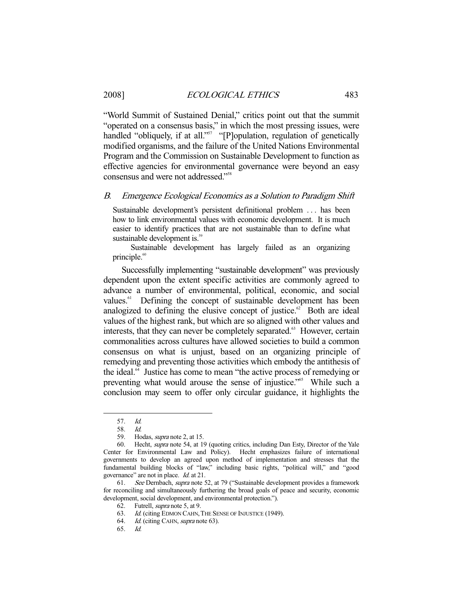"World Summit of Sustained Denial," critics point out that the summit "operated on a consensus basis," in which the most pressing issues, were handled "obliquely, if at all."<sup>57</sup> "[P]opulation, regulation of genetically modified organisms, and the failure of the United Nations Environmental Program and the Commission on Sustainable Development to function as effective agencies for environmental governance were beyond an easy consensus and were not addressed."58

## B. Emergence Ecological Economics as a Solution to Paradigm Shift

Sustainable development's persistent definitional problem . . . has been how to link environmental values with economic development. It is much easier to identify practices that are not sustainable than to define what sustainable development is.<sup>59</sup>

 Sustainable development has largely failed as an organizing principle.<sup>60</sup>

 Successfully implementing "sustainable development" was previously dependent upon the extent specific activities are commonly agreed to advance a number of environmental, political, economic, and social values.<sup>61</sup> Defining the concept of sustainable development has been analogized to defining the elusive concept of justice. $62$  Both are ideal values of the highest rank, but which are so aligned with other values and interests, that they can never be completely separated.<sup>63</sup> However, certain commonalities across cultures have allowed societies to build a common consensus on what is unjust, based on an organizing principle of remedying and preventing those activities which embody the antithesis of the ideal.<sup>64</sup> Justice has come to mean "the active process of remedying or preventing what would arouse the sense of injustice."<sup>65</sup> While such a conclusion may seem to offer only circular guidance, it highlights the

-

65. Id.

 <sup>57.</sup> Id.

 <sup>58.</sup> Id.

 <sup>59.</sup> Hodas, supra note 2, at 15.

 <sup>60.</sup> Hecht, supra note 54, at 19 (quoting critics, including Dan Esty, Director of the Yale Center for Environmental Law and Policy). Hecht emphasizes failure of international governments to develop an agreed upon method of implementation and stresses that the fundamental building blocks of "law," including basic rights, "political will," and "good governance" are not in place. Id. at 21.

 <sup>61.</sup> See Dernbach, supra note 52, at 79 ("Sustainable development provides a framework for reconciling and simultaneously furthering the broad goals of peace and security, economic development, social development, and environmental protection.").

<sup>62.</sup> Futrell, *supra* note 5, at 9.<br>63. *Id.* (citing EDMON CAHN.)

Id. (citing EDMON CAHN, THE SENSE OF INJUSTICE (1949).

<sup>64.</sup> Id. (citing CAHN, supra note 63).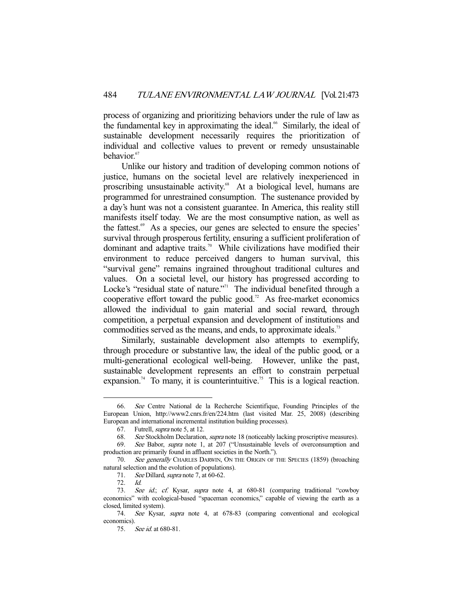process of organizing and prioritizing behaviors under the rule of law as the fundamental key in approximating the ideal.<sup>66</sup> Similarly, the ideal of sustainable development necessarily requires the prioritization of individual and collective values to prevent or remedy unsustainable behavior.<sup>67</sup>

 Unlike our history and tradition of developing common notions of justice, humans on the societal level are relatively inexperienced in proscribing unsustainable activity.<sup>68</sup> At a biological level, humans are programmed for unrestrained consumption. The sustenance provided by a day's hunt was not a consistent guarantee. In America, this reality still manifests itself today. We are the most consumptive nation, as well as the fattest.<sup>69</sup> As a species, our genes are selected to ensure the species' survival through prosperous fertility, ensuring a sufficient proliferation of dominant and adaptive traits.<sup>70</sup> While civilizations have modified their environment to reduce perceived dangers to human survival, this "survival gene" remains ingrained throughout traditional cultures and values. On a societal level, our history has progressed according to Locke's "residual state of nature."<sup>71</sup> The individual benefited through a cooperative effort toward the public good.<sup>72</sup> As free-market economics allowed the individual to gain material and social reward, through competition, a perpetual expansion and development of institutions and commodities served as the means, and ends, to approximate ideals.<sup>73</sup>

 Similarly, sustainable development also attempts to exemplify, through procedure or substantive law, the ideal of the public good, or a multi-generational ecological well-being. However, unlike the past, sustainable development represents an effort to constrain perpetual expansion.<sup>74</sup> To many, it is counterintuitive.<sup>75</sup> This is a logical reaction.

 <sup>66.</sup> See Centre National de la Recherche Scientifique, Founding Principles of the European Union, http://www2.cnrs.fr/en/224.htm (last visited Mar. 25, 2008) (describing European and international incremental institution building processes).

 <sup>67.</sup> Futrell, supra note 5, at 12.

 <sup>68.</sup> See Stockholm Declaration, supra note 18 (noticeably lacking proscriptive measures).

 <sup>69.</sup> See Babor, supra note 1, at 207 ("Unsustainable levels of overconsumption and production are primarily found in affluent societies in the North.").

<sup>70.</sup> See generally CHARLES DARWIN, ON THE ORIGIN OF THE SPECIES (1859) (broaching natural selection and the evolution of populations).

<sup>71.</sup> See Dillard, *supra* note 7, at 60-62.

<sup>72.</sup> *Id.*<br>73. *Sec* 

See id.; cf. Kysar, supra note 4, at 680-81 (comparing traditional "cowboy economics" with ecological-based "spaceman economics," capable of viewing the earth as a closed, limited system).

 <sup>74.</sup> See Kysar, supra note 4, at 678-83 (comparing conventional and ecological economics).

 <sup>75.</sup> See id. at 680-81.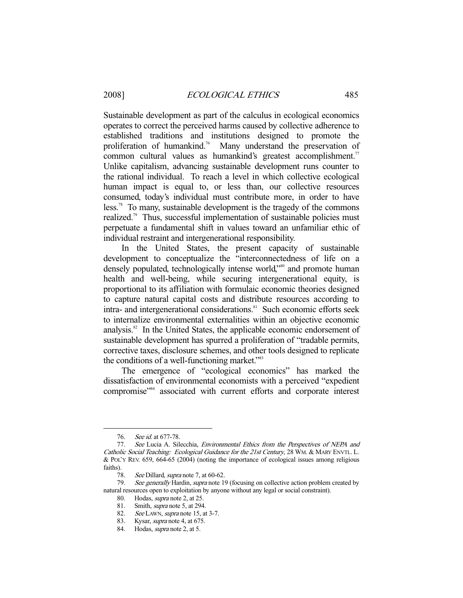Sustainable development as part of the calculus in ecological economics operates to correct the perceived harms caused by collective adherence to established traditions and institutions designed to promote the proliferation of humankind.76 Many understand the preservation of common cultural values as humankind's greatest accomplishment.<sup>77</sup> Unlike capitalism, advancing sustainable development runs counter to the rational individual. To reach a level in which collective ecological human impact is equal to, or less than, our collective resources consumed, today's individual must contribute more, in order to have less.<sup>78</sup> To many, sustainable development is the tragedy of the commons realized.<sup>79</sup> Thus, successful implementation of sustainable policies must perpetuate a fundamental shift in values toward an unfamiliar ethic of individual restraint and intergenerational responsibility.

 In the United States, the present capacity of sustainable development to conceptualize the "interconnectedness of life on a densely populated, technologically intense world,<sup>380</sup> and promote human health and well-being, while securing intergenerational equity, is proportional to its affiliation with formulaic economic theories designed to capture natural capital costs and distribute resources according to intra- and intergenerational considerations.<sup>81</sup> Such economic efforts seek to internalize environmental externalities within an objective economic analysis.<sup>82</sup> In the United States, the applicable economic endorsement of sustainable development has spurred a proliferation of "tradable permits, corrective taxes, disclosure schemes, and other tools designed to replicate the conditions of a well-functioning market."<sup>83</sup>

 The emergence of "ecological economics" has marked the dissatisfaction of environmental economists with a perceived "expedient compromise"<sup>84</sup> associated with current efforts and corporate interest

 <sup>76.</sup> See id. at 677-78.

<sup>77.</sup> See Lucia A. Silecchia, Environmental Ethics from the Perspectives of NEPA and Catholic Social Teaching: Ecological Guidance for the 21st Century, 28 WM. & MARY ENVTL. L. & POL'Y REV. 659, 664-65 (2004) (noting the importance of ecological issues among religious faiths).

<sup>78.</sup> See Dillard, *supra* note 7, at 60-62.

<sup>79.</sup> See generally Hardin, supra note 19 (focusing on collective action problem created by natural resources open to exploitation by anyone without any legal or social constraint).

<sup>80.</sup> Hodas, *supra* note 2, at 25.<br>81. Smith, *supra* note 5, at 294

Smith, *supra* note 5, at 294.

<sup>82.</sup> See LAWN, supra note 15, at 3-7.

 <sup>83.</sup> Kysar, supra note 4, at 675.

 <sup>84.</sup> Hodas, supra note 2, at 5.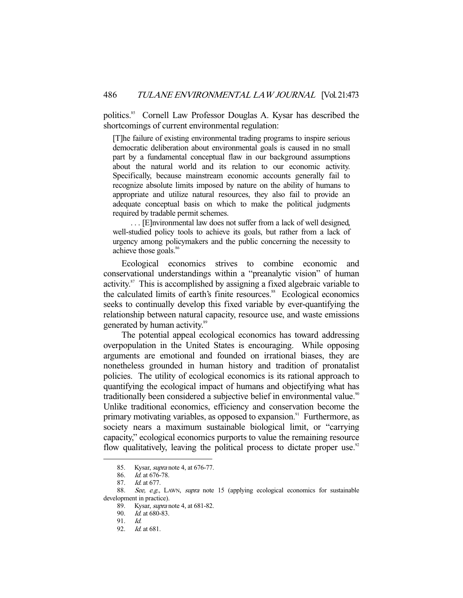politics.<sup>85</sup> Cornell Law Professor Douglas A. Kysar has described the shortcomings of current environmental regulation:

[T]he failure of existing environmental trading programs to inspire serious democratic deliberation about environmental goals is caused in no small part by a fundamental conceptual flaw in our background assumptions about the natural world and its relation to our economic activity. Specifically, because mainstream economic accounts generally fail to recognize absolute limits imposed by nature on the ability of humans to appropriate and utilize natural resources, they also fail to provide an adequate conceptual basis on which to make the political judgments required by tradable permit schemes.

 . . . [E]nvironmental law does not suffer from a lack of well designed, well-studied policy tools to achieve its goals, but rather from a lack of urgency among policymakers and the public concerning the necessity to achieve those goals.<sup>86</sup>

 Ecological economics strives to combine economic and conservational understandings within a "preanalytic vision" of human activity.87 This is accomplished by assigning a fixed algebraic variable to the calculated limits of earth's finite resources.<sup>88</sup> Ecological economics seeks to continually develop this fixed variable by ever-quantifying the relationship between natural capacity, resource use, and waste emissions generated by human activity.<sup>89</sup>

 The potential appeal ecological economics has toward addressing overpopulation in the United States is encouraging. While opposing arguments are emotional and founded on irrational biases, they are nonetheless grounded in human history and tradition of pronatalist policies. The utility of ecological economics is its rational approach to quantifying the ecological impact of humans and objectifying what has traditionally been considered a subjective belief in environmental value.<sup>90</sup> Unlike traditional economics, efficiency and conservation become the primary motivating variables, as opposed to expansion.<sup>91</sup> Furthermore, as society nears a maximum sustainable biological limit, or "carrying capacity," ecological economics purports to value the remaining resource flow qualitatively, leaving the political process to dictate proper use.<sup>92</sup>

<sup>85.</sup> Kysar, *supra* note 4, at 676-77.

 <sup>86.</sup> Id. at 676-78.

 <sup>87.</sup> Id. at 677.

<sup>88.</sup> See, e.g., LAWN, supra note 15 (applying ecological economics for sustainable development in practice).

 <sup>89.</sup> Kysar, supra note 4, at 681-82.

 <sup>90.</sup> Id. at 680-83.

 <sup>91.</sup> Id.

 <sup>92.</sup> Id. at 681.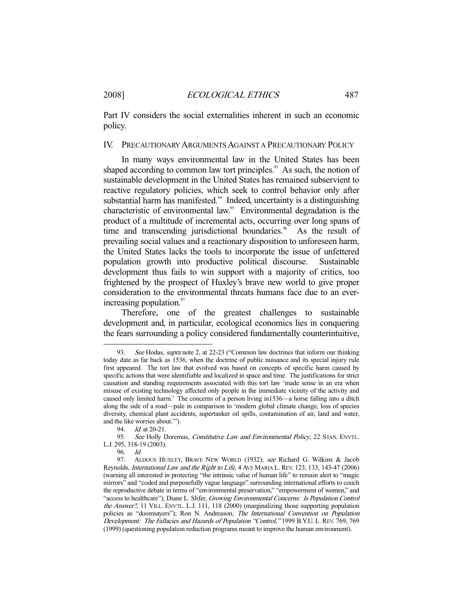Part IV considers the social externalities inherent in such an economic policy.

## IV. PRECAUTIONARY ARGUMENTS AGAINST A PRECAUTIONARY POLICY

 In many ways environmental law in the United States has been shaped according to common law tort principles.<sup>93</sup> As such, the notion of sustainable development in the United States has remained subservient to reactive regulatory policies, which seek to control behavior only after substantial harm has manifested. $94$  Indeed, uncertainty is a distinguishing characteristic of environmental law.<sup>95</sup> Environmental degradation is the product of a multitude of incremental acts, occurring over long spans of time and transcending jurisdictional boundaries.<sup>96</sup> As the result of prevailing social values and a reactionary disposition to unforeseen harm, the United States lacks the tools to incorporate the issue of unfettered population growth into productive political discourse. Sustainable development thus fails to win support with a majority of critics, too frightened by the prospect of Huxley's brave new world to give proper consideration to the environmental threats humans face due to an everincreasing population.<sup>97</sup>

 Therefore, one of the greatest challenges to sustainable development and, in particular, ecological economics lies in conquering the fears surrounding a policy considered fundamentally counterintuitive,

<sup>93.</sup> See Hodas, *supra* note 2, at 22-23 ("Common law doctrines that inform our thinking today date as far back as 1536, when the doctrine of public nuisance and its special injury rule first appeared. The tort law that evolved was based on concepts of specific harm caused by specific actions that were identifiable and localized in space and time. The justifications for strict causation and standing requirements associated with this tort law 'made sense in an era when misuse of existing technology affected only people in the immediate vicinity of the activity and caused only limited harm.' The concerns of a person living in1536—a horse falling into a ditch along the side of a road—pale in comparison to 'modern global climate change, loss of species diversity, chemical plant accidents, supertanker oil spills, contamination of air, land and water, and the like worries about.'").

<sup>94.</sup> *Id.* at 20-21.

<sup>95.</sup> See Holly Doremus, Constitutive Law and Environmental Policy, 22 STAN. ENVTL. L.J. 295, 318-19 (2003).

 <sup>96.</sup> Id.

<sup>97.</sup> ALDOUS HUXLEY, BRAVE NEW WORLD (1932); see Richard G. Wilkins & Jacob Reynolds, International Law and the Right to Life, 4 AVE MARIA L. REV. 123, 133, 143-47 (2006) (warning all interested in protecting "the intrinsic value of human life" to remain alert to "magic mirrors" and "coded and purposefully vague language" surrounding international efforts to couch the reproductive debate in terms of "environmental preservation," "empowerment of women," and "access to healthcare"); Diane L. Slifer, Growing Environmental Concerns: Is Population Control the Answer?, 11 VILL. ENVTL. L.J. 111, 118 (2000) (marginalizing those supporting population policies as "doomsayers"); Ron N. Andreason, The International Convention on Population Development: The Fallacies and Hazards of Population "Control," 1999 B.Y.U. L. REV. 769, 769 (1999) (questioning population reduction programs meant to improve the human environment).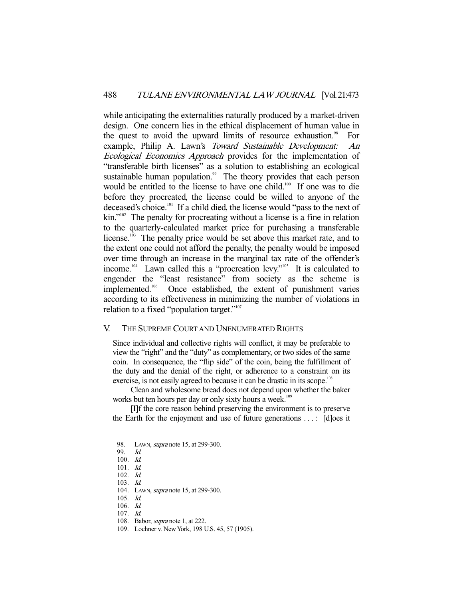while anticipating the externalities naturally produced by a market-driven design. One concern lies in the ethical displacement of human value in the quest to avoid the upward limits of resource exhaustion. $98$  For example, Philip A. Lawn's Toward Sustainable Development: An Ecological Economics Approach provides for the implementation of "transferable birth licenses" as a solution to establishing an ecological sustainable human population.<sup>99</sup> The theory provides that each person would be entitled to the license to have one child.<sup>100</sup> If one was to die before they procreated, the license could be willed to anyone of the deceased's choice.<sup>101</sup> If a child died, the license would "pass to the next of kin."<sup>102</sup> The penalty for procreating without a license is a fine in relation to the quarterly-calculated market price for purchasing a transferable license.<sup>103</sup> The penalty price would be set above this market rate, and to the extent one could not afford the penalty, the penalty would be imposed over time through an increase in the marginal tax rate of the offender's income.<sup>104</sup> Lawn called this a "procreation levy."<sup>105</sup> It is calculated to engender the "least resistance" from society as the scheme is implemented.<sup>106</sup> Once established, the extent of punishment varies according to its effectiveness in minimizing the number of violations in relation to a fixed "population target."<sup>107</sup>

#### V. THE SUPREME COURT AND UNENUMERATED RIGHTS

Since individual and collective rights will conflict, it may be preferable to view the "right" and the "duty" as complementary, or two sides of the same coin. In consequence, the "flip side" of the coin, being the fulfillment of the duty and the denial of the right, or adherence to a constraint on its exercise, is not easily agreed to because it can be drastic in its scope.<sup>108</sup>

 Clean and wholesome bread does not depend upon whether the baker works but ten hours per day or only sixty hours a week.<sup>109</sup>

 [I]f the core reason behind preserving the environment is to preserve the Earth for the enjoyment and use of future generations . . . : [d]oes it

<sup>98.</sup> LAWN, *supra* note 15, at 299-300.

 <sup>99.</sup> Id.

 <sup>100.</sup> Id.

 <sup>101.</sup> Id.

 <sup>102.</sup> Id.

 <sup>103.</sup> Id.

<sup>104.</sup> LAWN, *supra* note 15, at 299-300.

 <sup>105.</sup> Id.

 <sup>106.</sup> Id.

 <sup>107.</sup> Id.

 <sup>108.</sup> Babor, supra note 1, at 222. 109. Lochner v. New York, 198 U.S. 45, 57 (1905).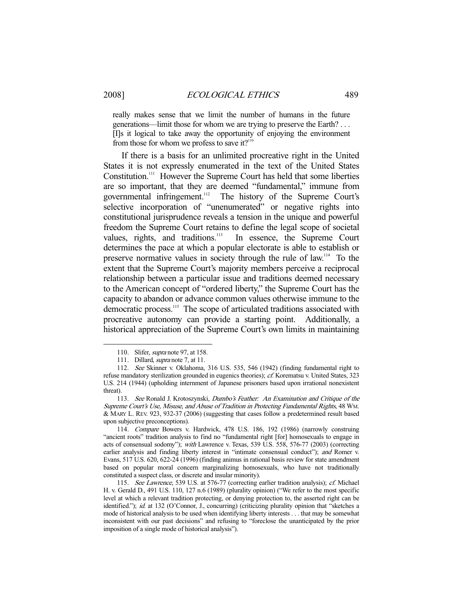really makes sense that we limit the number of humans in the future generations—limit those for whom we are trying to preserve the Earth? . . . [I]s it logical to take away the opportunity of enjoying the environment from those for whom we profess to save it?<sup>110</sup>

 If there is a basis for an unlimited procreative right in the United States it is not expressly enumerated in the text of the United States Constitution.111 However the Supreme Court has held that some liberties are so important, that they are deemed "fundamental," immune from governmental infringement.<sup>112</sup> The history of the Supreme Court's selective incorporation of "unenumerated" or negative rights into constitutional jurisprudence reveals a tension in the unique and powerful freedom the Supreme Court retains to define the legal scope of societal values, rights, and traditions.<sup>113</sup> In essence, the Supreme Court In essence, the Supreme Court determines the pace at which a popular electorate is able to establish or preserve normative values in society through the rule of law.114 To the extent that the Supreme Court's majority members perceive a reciprocal relationship between a particular issue and traditions deemed necessary to the American concept of "ordered liberty," the Supreme Court has the capacity to abandon or advance common values otherwise immune to the democratic process.<sup>115</sup> The scope of articulated traditions associated with procreative autonomy can provide a starting point. Additionally, a historical appreciation of the Supreme Court's own limits in maintaining

 <sup>110.</sup> Slifer, supra note 97, at 158.

<sup>111.</sup> Dillard, *supra* note 7, at 11.

 <sup>112.</sup> See Skinner v. Oklahoma, 316 U.S. 535, 546 (1942) (finding fundamental right to refuse mandatory sterilization grounded in eugenics theories); cf. Korematsu v. United States, 323 U.S. 214 (1944) (upholding internment of Japanese prisoners based upon irrational nonexistent threat).

 <sup>113.</sup> See Ronald J. Krotoszynski, Dumbo's Feather: An Examination and Critique of the Supreme Court's Use, Misuse, and Abuse of Tradition in Protecting Fundamental Rights, 48 WM. & MARY L. REV. 923, 932-37 (2006) (suggesting that cases follow a predetermined result based upon subjective preconceptions).

 <sup>114.</sup> Compare Bowers v. Hardwick, 478 U.S. 186, 192 (1986) (narrowly construing "ancient roots" tradition analysis to find no "fundamental right [for] homosexuals to engage in acts of consensual sodomy"); with Lawrence v. Texas, 539 U.S. 558, 576-77 (2003) (correcting earlier analysis and finding liberty interest in "intimate consensual conduct"); and Romer v. Evans, 517 U.S. 620, 622-24 (1996) (finding animus in rational basis review for state amendment based on popular moral concern marginalizing homosexuals, who have not traditionally constituted a suspect class, or discrete and insular minority).

 <sup>115.</sup> See Lawrence, 539 U.S. at 576-77 (correcting earlier tradition analysis); cf. Michael H. v. Gerald D., 491 U.S. 110, 127 n.6 (1989) (plurality opinion) ("We refer to the most specific level at which a relevant tradition protecting, or denying protection to, the asserted right can be identified."); id. at 132 (O'Connor, J., concurring) (criticizing plurality opinion that "sketches a mode of historical analysis to be used when identifying liberty interests . . . that may be somewhat inconsistent with our past decisions" and refusing to "foreclose the unanticipated by the prior imposition of a single mode of historical analysis").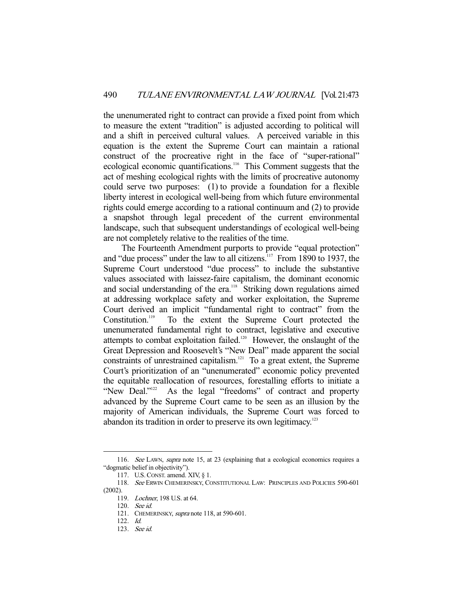the unenumerated right to contract can provide a fixed point from which to measure the extent "tradition" is adjusted according to political will and a shift in perceived cultural values. A perceived variable in this equation is the extent the Supreme Court can maintain a rational construct of the procreative right in the face of "super-rational" ecological economic quantifications.<sup>116</sup> This Comment suggests that the act of meshing ecological rights with the limits of procreative autonomy could serve two purposes: (1) to provide a foundation for a flexible liberty interest in ecological well-being from which future environmental rights could emerge according to a rational continuum and (2) to provide a snapshot through legal precedent of the current environmental landscape, such that subsequent understandings of ecological well-being are not completely relative to the realities of the time.

 The Fourteenth Amendment purports to provide "equal protection" and "due process" under the law to all citizens.<sup>117</sup> From 1890 to 1937, the Supreme Court understood "due process" to include the substantive values associated with laissez-faire capitalism, the dominant economic and social understanding of the era.<sup>118</sup> Striking down regulations aimed at addressing workplace safety and worker exploitation, the Supreme Court derived an implicit "fundamental right to contract" from the Constitution.<sup>119</sup> To the extent the Supreme Court protected the unenumerated fundamental right to contract, legislative and executive attempts to combat exploitation failed.<sup>120</sup> However, the onslaught of the Great Depression and Roosevelt's "New Deal" made apparent the social constraints of unrestrained capitalism.<sup>121</sup> To a great extent, the Supreme Court's prioritization of an "unenumerated" economic policy prevented the equitable reallocation of resources, forestalling efforts to initiate a "New Deal."<sup>122</sup> As the legal "freedoms" of contract and property advanced by the Supreme Court came to be seen as an illusion by the majority of American individuals, the Supreme Court was forced to abandon its tradition in order to preserve its own legitimacy.<sup>123</sup>

<sup>116.</sup> See LAWN, supra note 15, at 23 (explaining that a ecological economics requires a "dogmatic belief in objectivity").

 <sup>117.</sup> U.S.CONST. amend. XIV, § 1.

<sup>118.</sup> See ERWIN CHEMERINSKY, CONSTITUTIONAL LAW: PRINCIPLES AND POLICIES 590-601 (2002).

 <sup>119.</sup> Lochner, 198 U.S. at 64.

 <sup>120.</sup> See id.

<sup>121.</sup> CHEMERINSKY, supra note 118, at 590-601.

 <sup>122.</sup> Id.

 <sup>123.</sup> See id.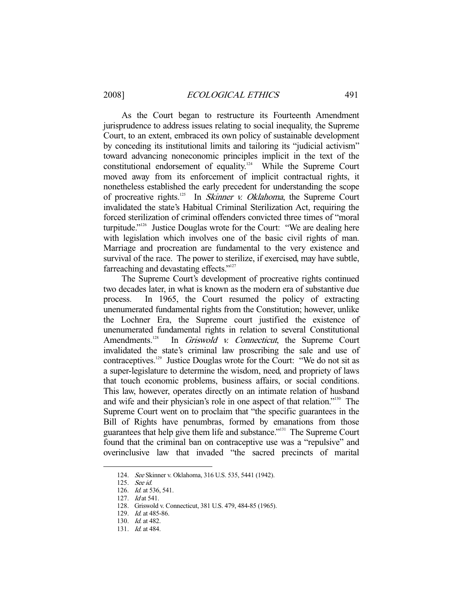As the Court began to restructure its Fourteenth Amendment jurisprudence to address issues relating to social inequality, the Supreme Court, to an extent, embraced its own policy of sustainable development by conceding its institutional limits and tailoring its "judicial activism" toward advancing noneconomic principles implicit in the text of the constitutional endorsement of equality.<sup>124</sup> While the Supreme Court moved away from its enforcement of implicit contractual rights, it nonetheless established the early precedent for understanding the scope of procreative rights.<sup>125</sup> In *Skinner v. Oklahoma*, the Supreme Court invalidated the state's Habitual Criminal Sterilization Act, requiring the forced sterilization of criminal offenders convicted three times of "moral turpitude."126 Justice Douglas wrote for the Court: "We are dealing here with legislation which involves one of the basic civil rights of man. Marriage and procreation are fundamental to the very existence and survival of the race. The power to sterilize, if exercised, may have subtle, farreaching and devastating effects."<sup>127</sup>

 The Supreme Court's development of procreative rights continued two decades later, in what is known as the modern era of substantive due process. In 1965, the Court resumed the policy of extracting unenumerated fundamental rights from the Constitution; however, unlike the Lochner Era, the Supreme court justified the existence of unenumerated fundamental rights in relation to several Constitutional Amendments.<sup>128</sup> In *Griswold v. Connecticut*, the Supreme Court invalidated the state's criminal law proscribing the sale and use of contraceptives.129 Justice Douglas wrote for the Court: "We do not sit as a super-legislature to determine the wisdom, need, and propriety of laws that touch economic problems, business affairs, or social conditions. This law, however, operates directly on an intimate relation of husband and wife and their physician's role in one aspect of that relation."130 The Supreme Court went on to proclaim that "the specific guarantees in the Bill of Rights have penumbras, formed by emanations from those guarantees that help give them life and substance."131 The Supreme Court found that the criminal ban on contraceptive use was a "repulsive" and overinclusive law that invaded "the sacred precincts of marital

 <sup>124.</sup> See Skinner v. Oklahoma, 316 U.S. 535, 5441 (1942).

 <sup>125.</sup> See id.

 <sup>126.</sup> Id. at 536, 541.

 <sup>127.</sup> Id at 541.

 <sup>128.</sup> Griswold v. Connecticut, 381 U.S. 479, 484-85 (1965).

 <sup>129.</sup> Id. at 485-86.

 <sup>130.</sup> Id. at 482.

 <sup>131.</sup> Id. at 484.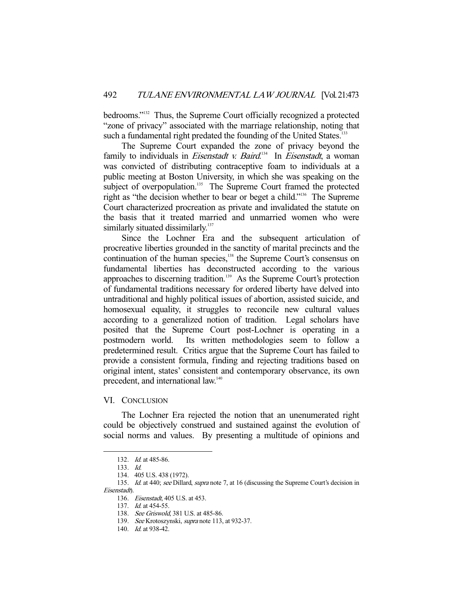bedrooms."132 Thus, the Supreme Court officially recognized a protected "zone of privacy" associated with the marriage relationship, noting that such a fundamental right predated the founding of the United States.<sup>133</sup>

 The Supreme Court expanded the zone of privacy beyond the family to individuals in *Eisenstadt v. Baird*.<sup>134</sup> In *Eisenstadt*, a woman was convicted of distributing contraceptive foam to individuals at a public meeting at Boston University, in which she was speaking on the subject of overpopulation.<sup>135</sup> The Supreme Court framed the protected right as "the decision whether to bear or beget a child."136 The Supreme Court characterized procreation as private and invalidated the statute on the basis that it treated married and unmarried women who were similarly situated dissimilarly.<sup>137</sup>

 Since the Lochner Era and the subsequent articulation of procreative liberties grounded in the sanctity of marital precincts and the continuation of the human species,<sup>138</sup> the Supreme Court's consensus on fundamental liberties has deconstructed according to the various approaches to discerning tradition.<sup>139</sup> As the Supreme Court's protection of fundamental traditions necessary for ordered liberty have delved into untraditional and highly political issues of abortion, assisted suicide, and homosexual equality, it struggles to reconcile new cultural values according to a generalized notion of tradition. Legal scholars have posited that the Supreme Court post-Lochner is operating in a postmodern world. Its written methodologies seem to follow a predetermined result. Critics argue that the Supreme Court has failed to provide a consistent formula, finding and rejecting traditions based on original intent, states' consistent and contemporary observance, its own precedent, and international law.<sup>140</sup>

#### VI. CONCLUSION

 The Lochner Era rejected the notion that an unenumerated right could be objectively construed and sustained against the evolution of social norms and values. By presenting a multitude of opinions and

 <sup>132.</sup> Id. at 485-86.

 <sup>133.</sup> Id.

 <sup>134. 405</sup> U.S. 438 (1972).

<sup>135.</sup> Id. at 440; see Dillard, supra note 7, at 16 (discussing the Supreme Court's decision in Eisenstadt).

 <sup>136.</sup> Eisenstadt, 405 U.S. at 453.

<sup>137.</sup> *Id.* at 454-55.

<sup>138.</sup> See Griswold, 381 U.S. at 485-86.

<sup>139.</sup> See Krotoszynski, *supra* note 113, at 932-37.

<sup>140.</sup> *Id.* at 938-42.